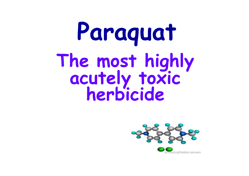# **ParaquatThe most highly acutely toxic herbicide**

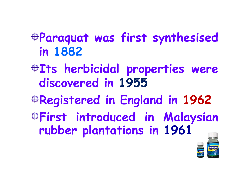#### **Paraquat was first synthesised in 1882**

#### **Its herbicidal properties were discovered in 1955**

- **Registered in England in 1962**
- **First introduced in Malaysian rubber plantations in 1961**

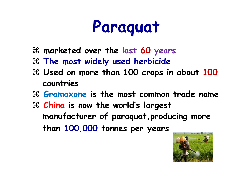# **Paraquat**

- **marketed over the last 60 years**
- **The most widely used herbicide**
- **Used on more than 100 crops in about 100 countries**
- **Gramoxone is the most common trade name**
- **China is now the world's largest manufacturer of paraquat,producing more than 100,000 tonnes per years**

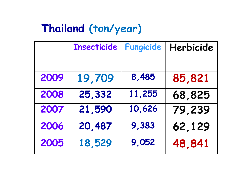## **Thailand (ton/year)**

|      | <b>Insecticide</b> | Fungicide | Herbicide |
|------|--------------------|-----------|-----------|
|      |                    |           |           |
| 2009 | 19,709             | 8,485     | 85,821    |
| 2008 | 25,332             | 11,255    | 68,825    |
| 2007 | 21,590             | 10,626    | 79,239    |
| 2006 | 20,487             | 9,383     | 62,129    |
| 2005 | 18,529             | 9,052     | 48,841    |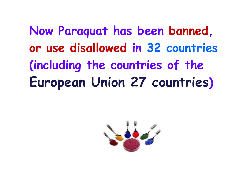**Now Paraquat has been banned, or use disallowed in 32 countries(including the countries of theEuropean Union 27 countries)**

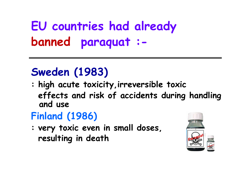**EU countries had alreadybanned paraquat : -**

#### **Sweden (1983)**

 **: high acute toxicity,irreversible toxic effects and risk of accidents during handling and use** 

#### **Finland (1986)**

 **: very toxic even in small doses,resulting in death** 

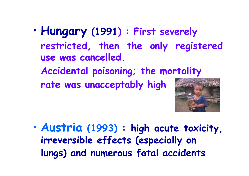- • **Hungary (1991) : First severely restricted, then the only registered use was cancelled.** 
	- **Accidental poisoning; the mortality**

**rate was unacceptably high**



• **Austria (1993) : high acute toxicity, irreversible effects (especially onlungs) and numerous fatal accidents**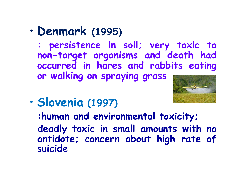•**Denmark (1995)** 

**: persistence in soil; very toxic to non-target organisms and death had occurred in hares and rabbits eating or walking on spraying grass** 



•**Slovenia (1997)** 

**:human and environmental toxicity;deadly toxic in small amounts with no antidote; concern about high rate of suicide**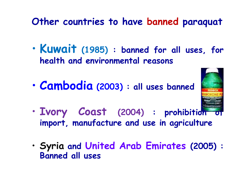#### **Other countries to have banned paraqua<sup>t</sup>**

- • **Kuwait (1985) : banned for all uses, for health and environmental reasons**
- • **Cambodia(2003) : all uses banned**



- • **Ivory Coast (2004) : prohibition of import, manufacture and use in agriculture**
- • **Syria and United Arab Emirates (2005) : Banned all uses**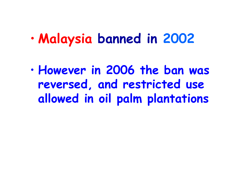#### •**Malaysia banned in 2002**

• **However in 2006 the ban was reversed, and restricted use allowed in oil palm plantations**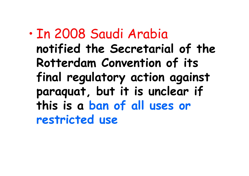• In 2008 Saudi Arabia **notified the Secretarial of the Rotterdam Convention of its final regulatory action against paraquat, but it is unclear if this is a ban of all uses or restricted use**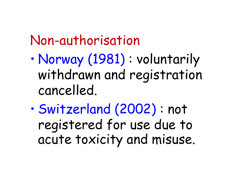#### Non-authorisation

- • Norway (1981) : voluntarily withdrawn and registration cancelled.
- $\bullet$  Switzerland (2002) : not registered for use due to acute toxicity and misuse.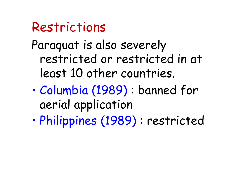#### Restrictions

Paraquat is also severely restricted or restricted in at least 10 other countries.

- • Columbia (1989) : banned for aerial application
- •Philippines (1989) : restricted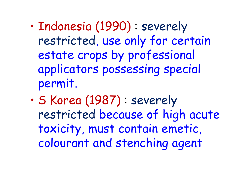- • Indonesia (1990) : severely restricted, use only for certain estate crops by professional applicators possessing special permit.
- • S Korea (1987) : severely restricted because of high acute toxicity, must contain emetic, colourant and stenching agent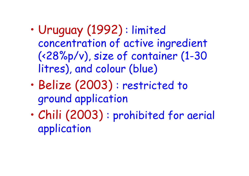- • Uruguay (1992) : limited concentration of active ingredient (<28%p/v), size of container (1-30 litres), and colour (blue)
- • Belize (2003) : restricted to ground application
- • Chili (2003) : prohibited for aerial application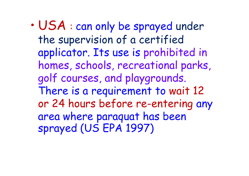• USA : can only be sprayed under the supervision of a certified applicator. Its use is prohibited in homes, schools, recreational parks, golf courses, and playgrounds. There is a requirement to wait 12 or 24 hours before re-entering any area where paraquat has been sprayed (US EPA 1997)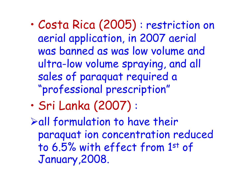- • Costa Rica (2005) : restriction on aerial application, in 2007 aerial was banned as was low volume and ultra-low volume spraying, and all sales of paraquat required a "professional prescription"
- •Sri Lanka (2007) :

 $\blacktriangleright$ all formulation to have their paraquat ion concentration reduced to 6.5% with effect from 1st of January,2008.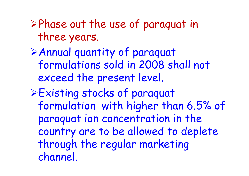-Phase out the use of paraquat in three years.

- -Annual quantity of paraquat formulations sold in 2008 shall not exceed the present level.
- -Existing stocks of paraquat formulation with higher than 6.5% of paraquat ion concentration in the country are to be allowed to deplete through the regular marketing channel.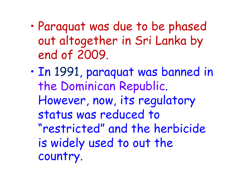- • Paraquat was due to be phased out altogether in Sri Lanka by end of 2009.
- • In 1991, paraquat was banned in the Dominican Republic. However, now, its regulatory status was reduced to "restricted" and the herbicide is widely used to out the country.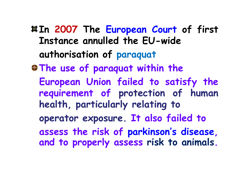**In 2007 The European Court of first Instance annulled the EU-wideauthorisation of paraquat The use of paraquat within theEuropean Union failed to satisfy the requirement of protection of human health, particularly relating tooperator exposure. It also failed toassess the risk of parkinson's disease, and to properly assess risk to animals.**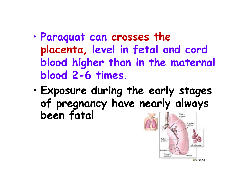- • **Paraquat can crosses the placenta, level in fetal and cord blood higher than in the maternal blood 2-6 times.**
- **Exposure during the early stages** •**of pregnancy have nearly always been fatal** broochus



 $\pi$ ADAM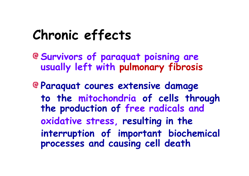#### **Chronic effects**

- **Survivors of paraquat poisning are usually left with pulmonary fibrosis**
- **Paraquat coures extensive damage to the mitochondria of cells through the production of free radicals andoxidative stress, resulting in theinterruption of important biochemical processes and causing cell death**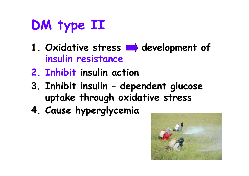## **DM type II**

- 1. Oxidative stress  $\rightarrow$  development of **insulin resistance**
- **2. Inhibit insulin action**
- **3. Inhibit insulin – dependent glucose uptake through oxidative stress**
- **4. Cause hyperglycemia**

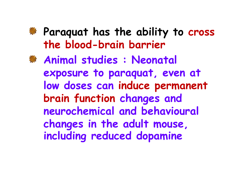**Paraquat has the ability to cross the blood-brain barrier**

**Animal studies : Neonatal exposure to paraquat, even at low doses can induce permanent brain function changes and neurochemical and behavioural changes in the adult mouse, including reduced dopamine**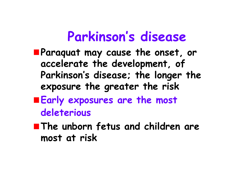#### **Parkinson's disease**

- **Paraquat may cause the onset, or accelerate the development, of Parkinson's disease; the longer the exposure the greater the risk**
- **Early exposures are the most deleterious**
- **The unborn fetus and children are most at risk**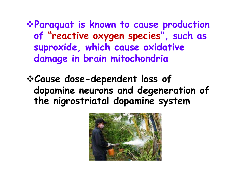**Paraquat is known to cause production of "reactive oxygen species", such as suproxide, which cause oxidative damage in brain mitochondria**

**Cause dose-dependent loss of dopamine neurons and degeneration of the nigrostriatal dopamine system** 

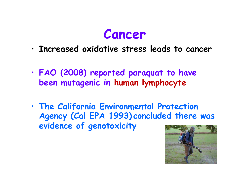

- •**Increased oxidative stress leads to cancer**
- • **FAO (2008) reported paraquat to have been mutagenic in human lymphocyte**
- • **The California Environmental Protection Agency (Cal EPA 1993) concluded there was evidence of genotoxicity**

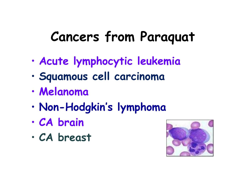### **Cancers from Paraquat**

- •**Acute lymphocytic leukemia**
- •**Squamous cell carcinoma**
- •**Melanoma**
- •**Non-Hodgkin's lymphoma**
- •**CA brain**
- •**CA breast**

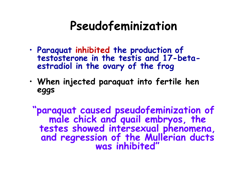#### **Pseudofeminization**

- • **Paraquat inhibited the production of testosterone in the testis and 17-betaestradiol in the ovary of the frog**
- • **When injected paraquat into fertile hen eggs**

**"paraquat caused pseudofeminization of male chick and quail embryos, the testes showed intersexual phenomena, and regression of the Mullerian ducts was inhibited"**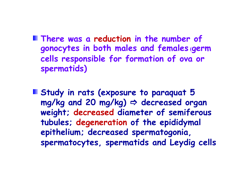- **There was a reduction in the number of gonocytes in both males and females (germ cells responsible for formation of ova or spermatids)**
- **Study in rats (exposure to paraquat 5 mg/kg and 20 mg/kg) decreased organ weight; decreased diameter of semiferous tubules; degeneration of the epididymal epithelium; decreased spermatogonia, spermatocytes, spermatids and Leydig cells**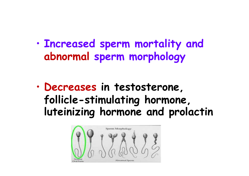• **Increased sperm mortality and abnormal sperm morphology**

• **Decreases in testosterone, follicle-stimulating hormone, luteinizing hormone and prolactin**

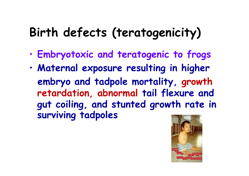#### **Birth defects (teratogenicity)**

- •**Embryotoxic and teratogenic to frogs**
- • **Maternal exposure resulting in higher embryo and tadpole mortality, growth retardation, abnormal tail flexure and gut coiling, and stunted growth rate in surviving tadpoles**

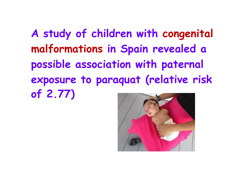**A study of children with congenital malformations in Spain revealed a possible association with paternal exposure to paraquat (relative riskof 2.77)**

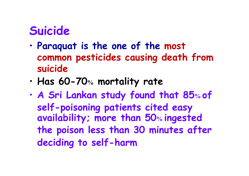#### **Suicide**

- • **Paraquat is the one of the most common pesticides causing death from suicide**
- •**Has 60-70% mortality rate**
- • **A Sri Lankan study found that 85 of**   $\frac{6}{10}$ **self-poisoning patients cited easy availability; more than 50% ingested the poison less than 30 minutes after deciding to self-harm**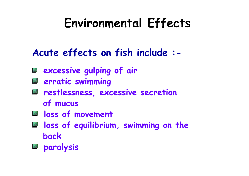#### **Environmental Effects**

#### **Acute effects on fish include :-**

- **excessive gulping of air**
- **erratic swimming**
- **restlessness, excessive secretion of mucus**
- **loss of movement**
- **loss of equilibrium, swimming on theback**
- **paralysis**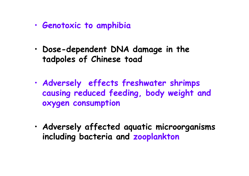- •**Genotoxic to amphibia**
- • **Dose-dependent DNA damage in the tadpoles of Chinese toad**
- • **Adversely effects freshwater shrimps causing reduced feeding, body weight and oxygen consumption**
- • **Adversely affected aquatic microorganisms including bacteria and zooplankton**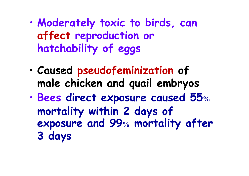- • **Moderately toxic to birds, can affect reproduction or hatchability of eggs**
- • **Caused pseudofeminization of male chicken and quail embryos**
- • **Bees direct exposure caused 55%mortality within 2 days of exposure and 99% mortality after 3 days**